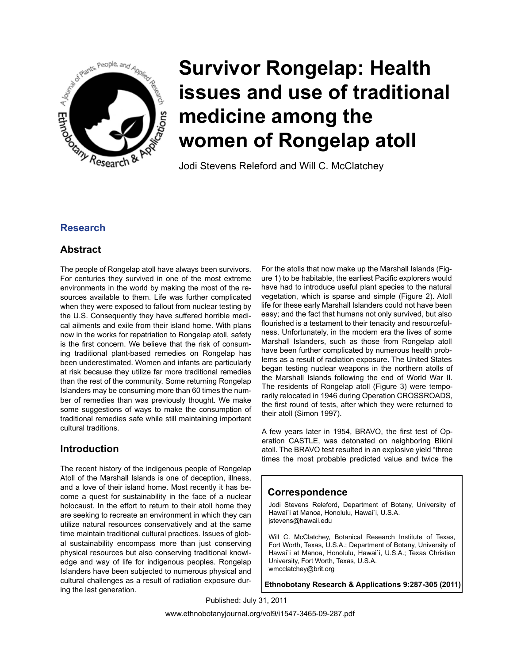

# **Survivor Rongelap: Health issues and use of traditional medicine among the women of Rongelap atoll**

Jodi Stevens Releford and Will C. McClatchey

## **Research**

#### **Abstract**

The people of Rongelap atoll have always been survivors. For centuries they survived in one of the most extreme environments in the world by making the most of the resources available to them. Life was further complicated when they were exposed to fallout from nuclear testing by the U.S. Consequently they have suffered horrible medical ailments and exile from their island home. With plans now in the works for repatriation to Rongelap atoll, safety is the first concern. We believe that the risk of consuming traditional plant-based remedies on Rongelap has been underestimated. Women and infants are particularly at risk because they utilize far more traditional remedies than the rest of the community. Some returning Rongelap Islanders may be consuming more than 60 times the number of remedies than was previously thought. We make some suggestions of ways to make the consumption of traditional remedies safe while still maintaining important cultural traditions.

## **Introduction**

The recent history of the indigenous people of Rongelap Atoll of the Marshall Islands is one of deception, illness, and a love of their island home. Most recently it has become a quest for sustainability in the face of a nuclear holocaust. In the effort to return to their atoll home they are seeking to recreate an environment in which they can utilize natural resources conservatively and at the same time maintain traditional cultural practices. Issues of global sustainability encompass more than just conserving physical resources but also conserving traditional knowledge and way of life for indigenous peoples. Rongelap Islanders have been subjected to numerous physical and cultural challenges as a result of radiation exposure during the last generation.

For the atolls that now make up the Marshall Islands (Figure 1) to be habitable, the earliest Pacific explorers would have had to introduce useful plant species to the natural vegetation, which is sparse and simple (Figure 2). Atoll life for these early Marshall Islanders could not have been easy; and the fact that humans not only survived, but also flourished is a testament to their tenacity and resourcefulness. Unfortunately, in the modern era the lives of some Marshall Islanders, such as those from Rongelap atoll have been further complicated by numerous health problems as a result of radiation exposure. The United States began testing nuclear weapons in the northern atolls of the Marshall Islands following the end of World War II. The residents of Rongelap atoll (Figure 3) were temporarily relocated in 1946 during Operation CROSSROADS, the first round of tests, after which they were returned to their atoll (Simon 1997).

A few years later in 1954, BRAVO, the first test of Operation CASTLE, was detonated on neighboring Bikini atoll. The BRAVO test resulted in an explosive yield "three times the most probable predicted value and twice the

## **Correspondence**

Jodi Stevens Releford, Department of Botany, University of Hawai`i at Manoa, Honolulu, Hawai`i, U.S.A. jstevens@hawaii.edu

Will C. McClatchey, Botanical Research Institute of Texas, Fort Worth, Texas, U.S.A.; Department of Botany, University of Hawai`i at Manoa, Honolulu, Hawai`i, U.S.A.; Texas Christian University, Fort Worth, Texas, U.S.A. wmcclatchey@brit.org

**Ethnobotany Research & Applications 9:287-305 (2011)**

Published: July 31, 2011

www.ethnobotanyjournal.org/vol9/i1547-3465-09-287.pdf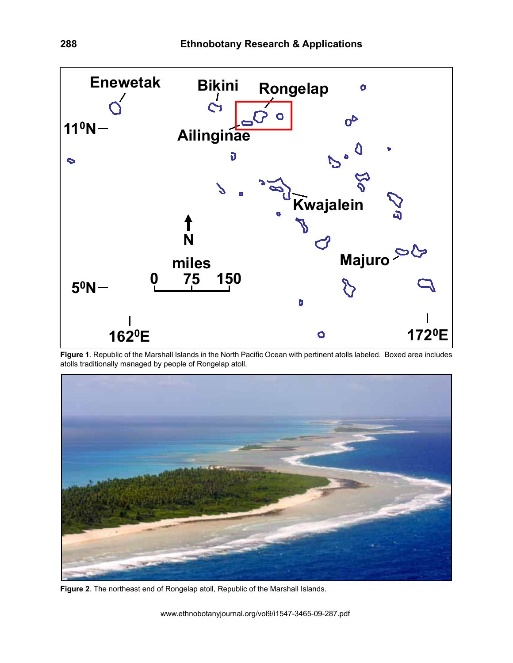

**Figure 1**. Republic of the Marshall Islands in the North Pacific Ocean with pertinent atolls labeled. Boxed area includes atolls traditionally managed by people of Rongelap atoll.



**Figure 2**. The northeast end of Rongelap atoll, Republic of the Marshall Islands.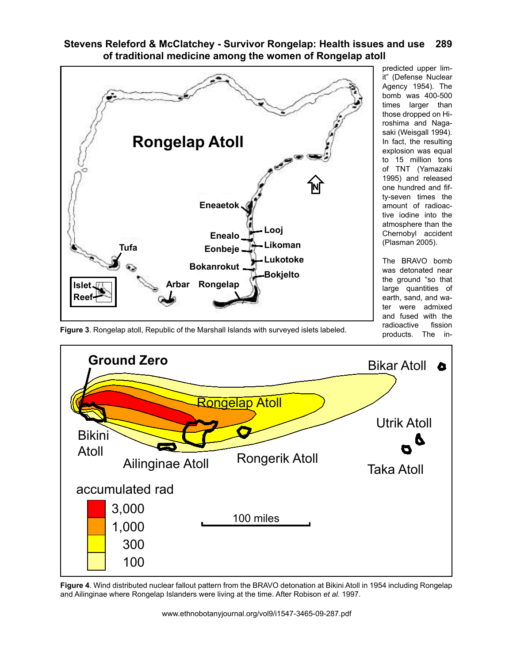

predicted upper limit" (Defense Nuclear Agency 1954). The bomb was 400-500 times larger than those dropped on Hiroshima and Nagasaki (Weisgall 1994). In fact, the resulting explosion was equal to 15 million tons of TNT (Yamazaki 1995) and released one hundred and fifty-seven times the amount of radioactive iodine into the atmosphere than the Chernobyl accident (Plasman 2005).

The BRAVO bomb was detonated near the ground "so that large quantities of earth, sand, and water were admixed and fused with the radioactive fission products. The in-

**Figure 3**. Rongelap atoll, Republic of the Marshall Islands with surveyed islets labeled.



**Figure 4**. Wind distributed nuclear fallout pattern from the BRAVO detonation at Bikini Atoll in 1954 including Rongelap and Ailinginae where Rongelap Islanders were living at the time. After Robison *et al.* 1997.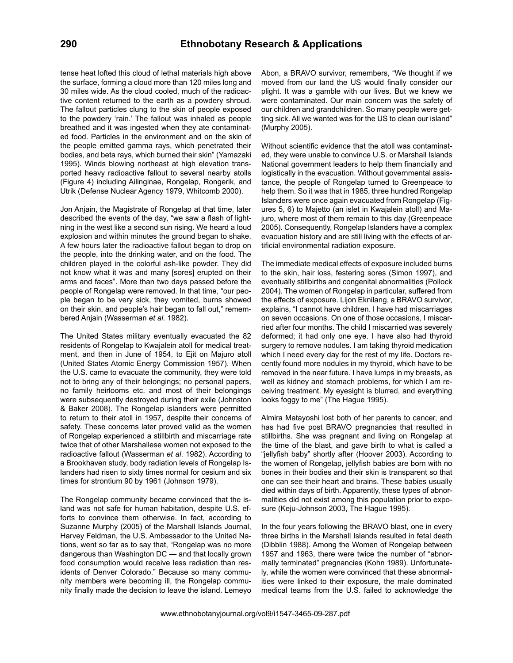tense heat lofted this cloud of lethal materials high above the surface, forming a cloud more than 120 miles long and 30 miles wide. As the cloud cooled, much of the radioactive content returned to the earth as a powdery shroud. The fallout particles clung to the skin of people exposed to the powdery 'rain.' The fallout was inhaled as people breathed and it was ingested when they ate contaminated food. Particles in the environment and on the skin of the people emitted gamma rays, which penetrated their bodies, and beta rays, which burned their skin" (Yamazaki 1995). Winds blowing northeast at high elevation transported heavy radioactive fallout to several nearby atolls (Figure 4) including Ailinginae, Rongelap, Rongerik, and Utrik (Defense Nuclear Agency 1979, Whitcomb 2000).

Jon Anjain, the Magistrate of Rongelap at that time, later described the events of the day, "we saw a flash of lightning in the west like a second sun rising. We heard a loud explosion and within minutes the ground began to shake. A few hours later the radioactive fallout began to drop on the people, into the drinking water, and on the food. The children played in the colorful ash-like powder. They did not know what it was and many [sores] erupted on their arms and faces". More than two days passed before the people of Rongelap were removed. In that time, "our people began to be very sick, they vomited, burns showed on their skin, and people's hair began to fall out," remembered Anjain (Wasserman *et al*. 1982).

The United States military eventually evacuated the 82 residents of Rongelap to Kwajalein atoll for medical treatment, and then in June of 1954, to Ejit on Majuro atoll (United States Atomic Energy Commission 1957). When the U.S. came to evacuate the community, they were told not to bring any of their belongings; no personal papers, no family heirlooms etc. and most of their belongings were subsequently destroyed during their exile (Johnston & Baker 2008). The Rongelap islanders were permitted to return to their atoll in 1957, despite their concerns of safety. These concerns later proved valid as the women of Rongelap experienced a stillbirth and miscarriage rate twice that of other Marshallese women not exposed to the radioactive fallout (Wasserman *et al*. 1982). According to a Brookhaven study, body radiation levels of Rongelap Islanders had risen to sixty times normal for cesium and six times for strontium 90 by 1961 (Johnson 1979).

The Rongelap community became convinced that the island was not safe for human habitation, despite U.S. efforts to convince them otherwise. In fact, according to Suzanne Murphy (2005) of the Marshall Islands Journal, Harvey Feldman, the U.S. Ambassador to the United Nations, went so far as to say that, "Rongelap was no more dangerous than Washington DC — and that locally grown food consumption would receive less radiation than residents of Denver Colorado." Because so many community members were becoming ill, the Rongelap community finally made the decision to leave the island. Lemeyo

Abon, a BRAVO survivor, remembers, "We thought if we moved from our land the US would finally consider our plight. It was a gamble with our lives. But we knew we were contaminated. Our main concern was the safety of our children and grandchildren. So many people were getting sick. All we wanted was for the US to clean our island" (Murphy 2005).

Without scientific evidence that the atoll was contaminated, they were unable to convince U.S. or Marshall Islands National government leaders to help them financially and logistically in the evacuation. Without governmental assistance, the people of Rongelap turned to Greenpeace to help them. So it was that in 1985, three hundred Rongelap Islanders were once again evacuated from Rongelap (Figures 5, 6) to Majetto (an islet in Kwajalein atoll) and Majuro, where most of them remain to this day (Greenpeace 2005). Consequently, Rongelap Islanders have a complex evacuation history and are still living with the effects of artificial environmental radiation exposure.

The immediate medical effects of exposure included burns to the skin, hair loss, festering sores (Simon 1997), and eventually stillbirths and congenital abnormalities (Pollock 2004). The women of Rongelap in particular, suffered from the effects of exposure. Lijon Eknilang, a BRAVO survivor, explains, "I cannot have children. I have had miscarriages on seven occasions. On one of those occasions, I miscarried after four months. The child I miscarried was severely deformed; it had only one eye. I have also had thyroid surgery to remove nodules. I am taking thyroid medication which I need every day for the rest of my life. Doctors recently found more nodules in my thyroid, which have to be removed in the near future. I have lumps in my breasts, as well as kidney and stomach problems, for which I am receiving treatment. My eyesight is blurred, and everything looks foggy to me" (The Hague 1995).

Almira Matayoshi lost both of her parents to cancer, and has had five post BRAVO pregnancies that resulted in stillbirths. She was pregnant and living on Rongelap at the time of the blast, and gave birth to what is called a "jellyfish baby" shortly after (Hoover 2003). According to the women of Rongelap, jellyfish babies are born with no bones in their bodies and their skin is transparent so that one can see their heart and brains. These babies usually died within days of birth. Apparently, these types of abnormalities did not exist among this population prior to exposure (Keju-Johnson 2003, The Hague 1995).

In the four years following the BRAVO blast, one in every three births in the Marshall Islands resulted in fetal death (Dibblin 1988). Among the Women of Rongelap between 1957 and 1963, there were twice the number of "abnormally terminated" pregnancies (Kohn 1989). Unfortunately, while the women were convinced that these abnormalities were linked to their exposure, the male dominated medical teams from the U.S. failed to acknowledge the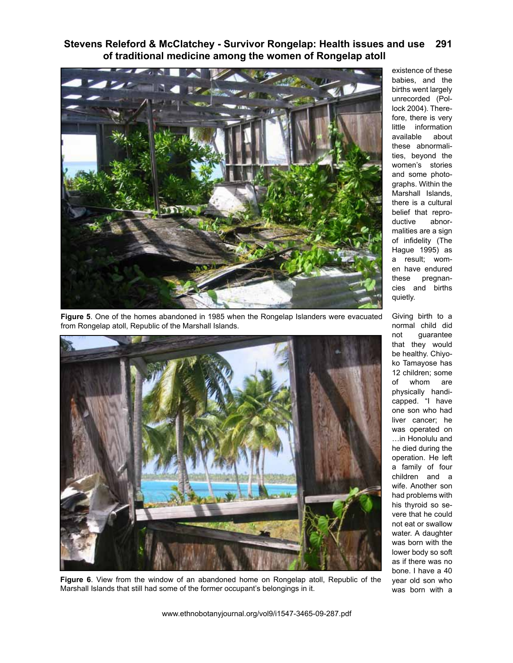

**Figure 5**. One of the homes abandoned in 1985 when the Rongelap Islanders were evacuated from Rongelap atoll, Republic of the Marshall Islands.



**Figure 6**. View from the window of an abandoned home on Rongelap atoll, Republic of the Marshall Islands that still had some of the former occupant's belongings in it.

existence of these babies, and the births went largely unrecorded (Pollock 2004). Therefore, there is very little information available about these abnormalities, beyond the women's stories and some photographs. Within the Marshall Islands, there is a cultural belief that repro-<br>ductive abnorabnormalities are a sign of infidelity (The Hague 1995) as a result; women have endured these pregnancies and births quietly.

Giving birth to a normal child did not guarantee that they would be healthy. Chiyoko Tamayose has 12 children; some of whom are physically handicapped. "I have one son who had liver cancer; he was operated on …in Honolulu and he died during the operation. He left a family of four children and a wife. Another son had problems with his thyroid so severe that he could not eat or swallow water. A daughter was born with the lower body so soft as if there was no bone. I have a 40 year old son who was born with a

www.ethnobotanyjournal.org/vol9/i1547-3465-09-287.pdf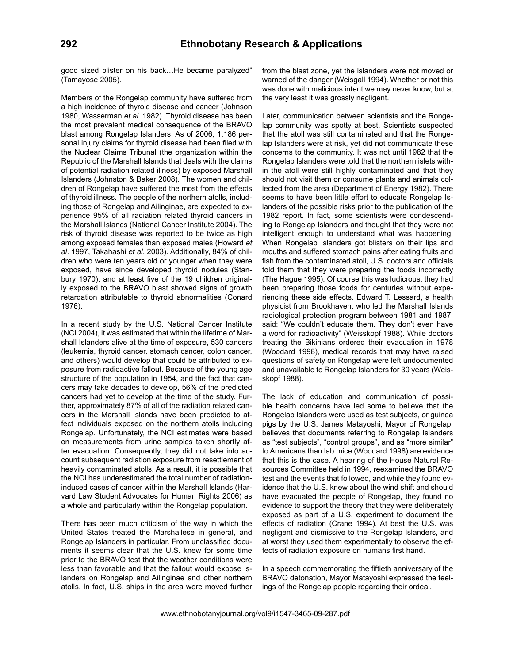good sized blister on his back…He became paralyzed" (Tamayose 2005).

Members of the Rongelap community have suffered from a high incidence of thyroid disease and cancer (Johnson 1980, Wasserman *et al*. 1982). Thyroid disease has been the most prevalent medical consequence of the BRAVO blast among Rongelap Islanders. As of 2006, 1,186 personal injury claims for thyroid disease had been filed with the Nuclear Claims Tribunal (the organization within the Republic of the Marshall Islands that deals with the claims of potential radiation related illness) by exposed Marshall Islanders (Johnston & Baker 2008). The women and children of Rongelap have suffered the most from the effects of thyroid illness. The people of the northern atolls, including those of Rongelap and Ailinginae, are expected to experience 95% of all radiation related thyroid cancers in the Marshall Islands (National Cancer Institute 2004). The risk of thyroid disease was reported to be twice as high among exposed females than exposed males (Howard *et al*. 1997, Takahashi *et al*. 2003). Additionally, 84% of children who were ten years old or younger when they were exposed, have since developed thyroid nodules (Stanbury 1970), and at least five of the 19 children originally exposed to the BRAVO blast showed signs of growth retardation attributable to thyroid abnormalities (Conard 1976).

In a recent study by the U.S. National Cancer Institute (NCI 2004), it was estimated that within the lifetime of Marshall Islanders alive at the time of exposure, 530 cancers (leukemia, thyroid cancer, stomach cancer, colon cancer, and others) would develop that could be attributed to exposure from radioactive fallout. Because of the young age structure of the population in 1954, and the fact that cancers may take decades to develop, 56% of the predicted cancers had yet to develop at the time of the study. Further, approximately 87% of all of the radiation related cancers in the Marshall Islands have been predicted to affect individuals exposed on the northern atolls including Rongelap. Unfortunately, the NCI estimates were based on measurements from urine samples taken shortly after evacuation. Consequently, they did not take into account subsequent radiation exposure from resettlement of heavily contaminated atolls. As a result, it is possible that the NCI has underestimated the total number of radiationinduced cases of cancer within the Marshall Islands (Harvard Law Student Advocates for Human Rights 2006) as a whole and particularly within the Rongelap population.

There has been much criticism of the way in which the United States treated the Marshallese in general, and Rongelap Islanders in particular. From unclassified documents it seems clear that the U.S. knew for some time prior to the BRAVO test that the weather conditions were less than favorable and that the fallout would expose islanders on Rongelap and Ailinginae and other northern atolls. In fact, U.S. ships in the area were moved further from the blast zone, yet the islanders were not moved or warned of the danger (Weisgall 1994). Whether or not this was done with malicious intent we may never know, but at the very least it was grossly negligent.

Later, communication between scientists and the Rongelap community was spotty at best. Scientists suspected that the atoll was still contaminated and that the Rongelap Islanders were at risk, yet did not communicate these concerns to the community. It was not until 1982 that the Rongelap Islanders were told that the northern islets within the atoll were still highly contaminated and that they should not visit them or consume plants and animals collected from the area (Department of Energy 1982). There seems to have been little effort to educate Rongelap Islanders of the possible risks prior to the publication of the 1982 report. In fact, some scientists were condescending to Rongelap Islanders and thought that they were not intelligent enough to understand what was happening. When Rongelap Islanders got blisters on their lips and mouths and suffered stomach pains after eating fruits and fish from the contaminated atoll, U.S. doctors and officials told them that they were preparing the foods incorrectly (The Hague 1995). Of course this was ludicrous; they had been preparing those foods for centuries without experiencing these side effects. Edward T. Lessard, a health physicist from Brookhaven, who led the Marshall Islands radiological protection program between 1981 and 1987, said: "We couldn't educate them. They don't even have a word for radioactivity" (Weisskopf 1988). While doctors treating the Bikinians ordered their evacuation in 1978 (Woodard 1998), medical records that may have raised questions of safety on Rongelap were left undocumented and unavailable to Rongelap Islanders for 30 years (Weisskopf 1988).

The lack of education and communication of possible health concerns have led some to believe that the Rongelap Islanders were used as test subjects, or guinea pigs by the U.S. James Matayoshi, Mayor of Rongelap, believes that documents referring to Rongelap Islanders as "test subjects", "control groups", and as "more similar" to Americans than lab mice (Woodard 1998) are evidence that this is the case. A hearing of the House Natural Resources Committee held in 1994, reexamined the BRAVO test and the events that followed, and while they found evidence that the U.S. knew about the wind shift and should have evacuated the people of Rongelap, they found no evidence to support the theory that they were deliberately exposed as part of a U.S. experiment to document the effects of radiation (Crane 1994). At best the U.S. was negligent and dismissive to the Rongelap Islanders, and at worst they used them experimentally to observe the effects of radiation exposure on humans first hand.

In a speech commemorating the fiftieth anniversary of the BRAVO detonation, Mayor Matayoshi expressed the feelings of the Rongelap people regarding their ordeal.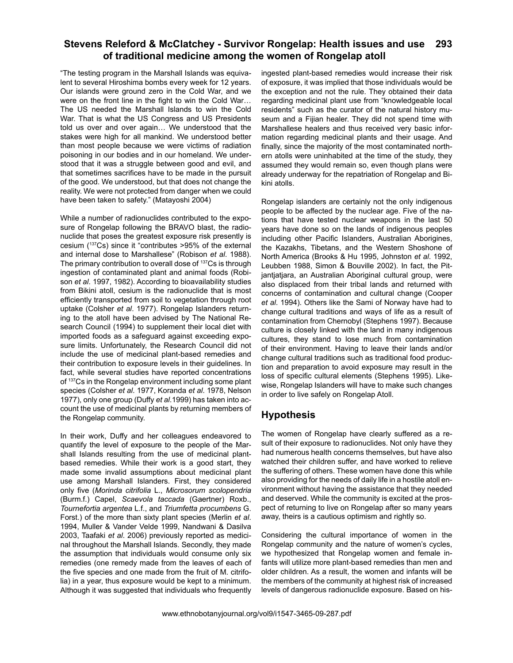"The testing program in the Marshall Islands was equivalent to several Hiroshima bombs every week for 12 years. Our islands were ground zero in the Cold War, and we were on the front line in the fight to win the Cold War… The US needed the Marshall Islands to win the Cold War. That is what the US Congress and US Presidents told us over and over again… We understood that the stakes were high for all mankind. We understood better than most people because we were victims of radiation poisoning in our bodies and in our homeland. We understood that it was a struggle between good and evil, and that sometimes sacrifices have to be made in the pursuit of the good. We understood, but that does not change the reality. We were not protected from danger when we could have been taken to safety." (Matayoshi 2004)

While a number of radionuclides contributed to the exposure of Rongelap following the BRAVO blast, the radionuclide that poses the greatest exposure risk presently is cesium (137Cs) since it "contributes >95% of the external and internal dose to Marshallese" (Robison *et al*. 1988). The primary contribution to overall dose of <sup>137</sup>Cs is through ingestion of contaminated plant and animal foods (Robison *et al*. 1997, 1982). According to bioavailability studies from Bikini atoll, cesium is the radionuclide that is most efficiently transported from soil to vegetation through root uptake (Colsher *et al*. 1977). Rongelap Islanders returning to the atoll have been advised by The National Research Council (1994) to supplement their local diet with imported foods as a safeguard against exceeding exposure limits. Unfortunately, the Research Council did not include the use of medicinal plant-based remedies and their contribution to exposure levels in their guidelines. In fact, while several studies have reported concentrations of 137Cs in the Rongelap environment including some plant species (Colsher *et al*. 1977, Koranda *et al*. 1978, Nelson 1977), only one group (Duffy *et al*.1999) has taken into account the use of medicinal plants by returning members of the Rongelap community.

In their work, Duffy and her colleagues endeavored to quantify the level of exposure to the people of the Marshall Islands resulting from the use of medicinal plantbased remedies. While their work is a good start, they made some invalid assumptions about medicinal plant use among Marshall Islanders. First, they considered only five (*Morinda citrifolia* L., *Microsorum scolopendria*  (Burm.f.) Capel, *Scaevola taccada* (Gaertner) Roxb., *Tournefortia argentea* L.f., and *Triumfetta procumbens* G. Forst.) of the more than sixty plant species (Merlin *et al*. 1994, Muller & Vander Velde 1999, Nandwani & Dasilva 2003, Taafaki *et al*. 2006) previously reported as medicinal throughout the Marshall Islands. Secondly, they made the assumption that individuals would consume only six remedies (one remedy made from the leaves of each of the five species and one made from the fruit of M. citrifolia) in a year, thus exposure would be kept to a minimum. Although it was suggested that individuals who frequently ingested plant-based remedies would increase their risk of exposure, it was implied that those individuals would be the exception and not the rule. They obtained their data regarding medicinal plant use from "knowledgeable local residents" such as the curator of the natural history museum and a Fijian healer. They did not spend time with Marshallese healers and thus received very basic information regarding medicinal plants and their usage. And finally, since the majority of the most contaminated northern atolls were uninhabited at the time of the study, they assumed they would remain so, even though plans were already underway for the repatriation of Rongelap and Bikini atolls.

Rongelap islanders are certainly not the only indigenous people to be affected by the nuclear age. Five of the nations that have tested nuclear weapons in the last 50 years have done so on the lands of indigenous peoples including other Pacific Islanders, Australian Aborigines, the Kazakhs, Tibetans, and the Western Shoshone of North America (Brooks & Hu 1995, Johnston *et al*. 1992, Leubben 1988, Simon & Bouville 2002). In fact, the Pitjantjatjara, an Australian Aboriginal cultural group, were also displaced from their tribal lands and returned with concerns of contamination and cultural change (Cooper *et al*. 1994). Others like the Sami of Norway have had to change cultural traditions and ways of life as a result of contamination from Chernobyl (Stephens 1997). Because culture is closely linked with the land in many indigenous cultures, they stand to lose much from contamination of their environment. Having to leave their lands and/or change cultural traditions such as traditional food production and preparation to avoid exposure may result in the loss of specific cultural elements (Stephens 1995). Likewise, Rongelap Islanders will have to make such changes in order to live safely on Rongelap Atoll.

## **Hypothesis**

The women of Rongelap have clearly suffered as a result of their exposure to radionuclides. Not only have they had numerous health concerns themselves, but have also watched their children suffer, and have worked to relieve the suffering of others. These women have done this while also providing for the needs of daily life in a hostile atoll environment without having the assistance that they needed and deserved. While the community is excited at the prospect of returning to live on Rongelap after so many years away, theirs is a cautious optimism and rightly so.

Considering the cultural importance of women in the Rongelap community and the nature of women's cycles, we hypothesized that Rongelap women and female infants will utilize more plant-based remedies than men and older children. As a result, the women and infants will be the members of the community at highest risk of increased levels of dangerous radionuclide exposure. Based on his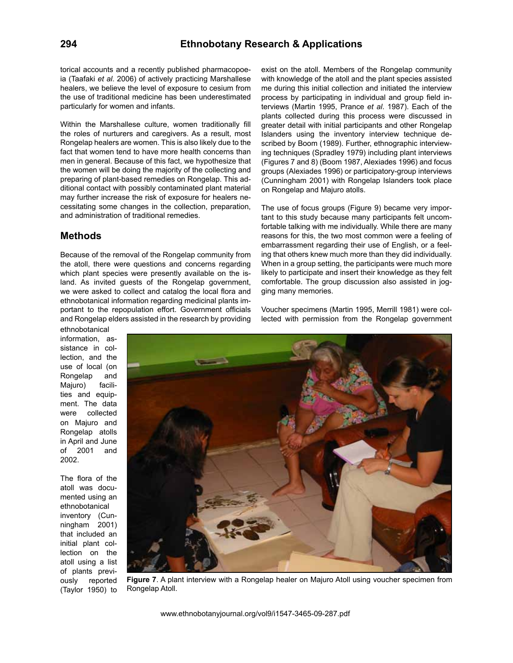torical accounts and a recently published pharmacopoeia (Taafaki *et al*. 2006) of actively practicing Marshallese healers, we believe the level of exposure to cesium from the use of traditional medicine has been underestimated particularly for women and infants.

Within the Marshallese culture, women traditionally fill the roles of nurturers and caregivers. As a result, most Rongelap healers are women. This is also likely due to the fact that women tend to have more health concerns than men in general. Because of this fact, we hypothesize that the women will be doing the majority of the collecting and preparing of plant-based remedies on Rongelap. This additional contact with possibly contaminated plant material may further increase the risk of exposure for healers necessitating some changes in the collection, preparation, and administration of traditional remedies.

#### **Methods**

Because of the removal of the Rongelap community from the atoll, there were questions and concerns regarding which plant species were presently available on the island. As invited guests of the Rongelap government, we were asked to collect and catalog the local flora and ethnobotanical information regarding medicinal plants important to the repopulation effort. Government officials and Rongelap elders assisted in the research by providing

ethnobotanical information, assistance in collection, and the use of local (on Rongelap and Majuro) facilities and equipment. The data were collected on Majuro and Rongelap atolls in April and June of 2001 and 2002.

The flora of the atoll was documented using an ethnobotanical inventory (Cunningham 2001) that included an initial plant collection on the atoll using a list of plants previously reported (Taylor 1950) to exist on the atoll. Members of the Rongelap community with knowledge of the atoll and the plant species assisted me during this initial collection and initiated the interview process by participating in individual and group field interviews (Martin 1995, Prance *et al*. 1987). Each of the plants collected during this process were discussed in greater detail with initial participants and other Rongelap Islanders using the inventory interview technique described by Boom (1989). Further, ethnographic interviewing techniques (Spradley 1979) including plant interviews (Figures 7 and 8) (Boom 1987, Alexiades 1996) and focus groups (Alexiades 1996) or participatory-group interviews (Cunningham 2001) with Rongelap Islanders took place on Rongelap and Majuro atolls.

The use of focus groups (Figure 9) became very important to this study because many participants felt uncomfortable talking with me individually. While there are many reasons for this, the two most common were a feeling of embarrassment regarding their use of English, or a feeling that others knew much more than they did individually. When in a group setting, the participants were much more likely to participate and insert their knowledge as they felt comfortable. The group discussion also assisted in jogging many memories.

Voucher specimens (Martin 1995, Merrill 1981) were collected with permission from the Rongelap government



**Figure 7**. A plant interview with a Rongelap healer on Majuro Atoll using voucher specimen from Rongelap Atoll.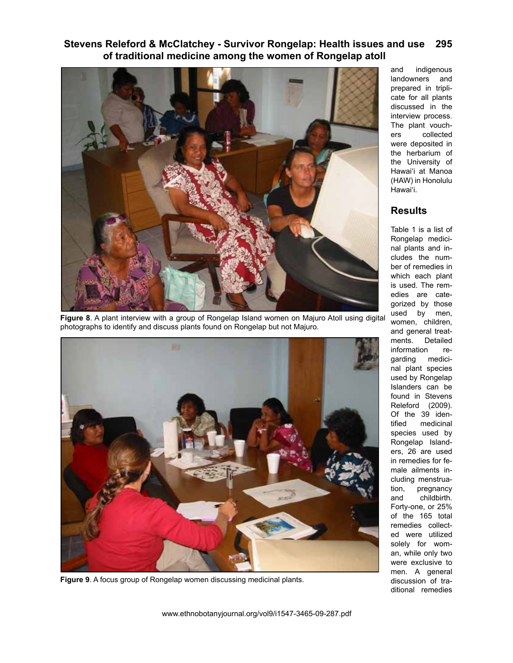

**Figure 8**. A plant interview with a group of Rongelap Island women on Majuro Atoll using digital photographs to identify and discuss plants found on Rongelap but not Majuro.



**Figure 9**. A focus group of Rongelap women discussing medicinal plants.

and indigenous landowners and prepared in triplicate for all plants discussed in the interview process. The plant vouchers collected were deposited in the herbarium of the University of Hawai'i at Manoa (HAW) in Honolulu Hawai'i.

# **Results**

Table 1 is a list of Rongelap medicinal plants and includes the number of remedies in which each plant is used. The remedies are categorized by those used by men, women, children, and general treatments. Detailed information regarding medicinal plant species used by Rongelap Islanders can be found in Stevens Releford (2009). Of the 39 identified medicinal species used by Rongelap Islanders, 26 are used in remedies for female ailments including menstruation, pregnancy and childbirth. Forty-one, or 25% of the 165 total remedies collected were utilized solely for woman, while only two were exclusive to men. A general discussion of traditional remedies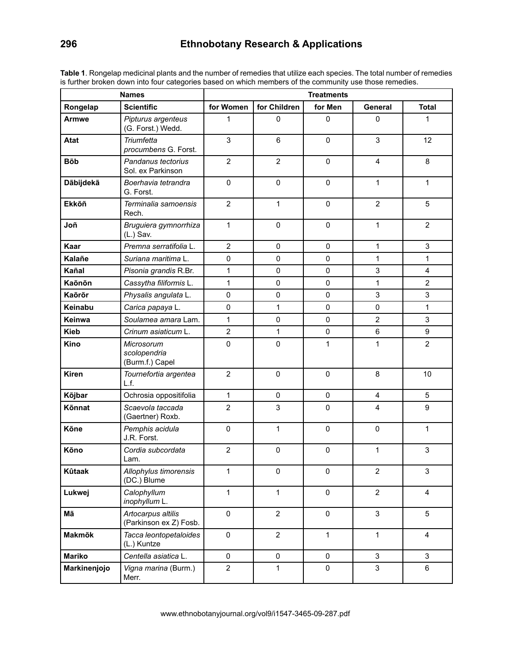| <b>Names</b>  |                                               | <b>Treatments</b> |                |              |                |                           |  |  |
|---------------|-----------------------------------------------|-------------------|----------------|--------------|----------------|---------------------------|--|--|
| Rongelap      | <b>Scientific</b>                             | for Women         | for Children   | for Men      | General        | <b>Total</b>              |  |  |
| Armwe         | Pipturus argenteus<br>(G. Forst.) Wedd.       | 1                 | 0              | 0            | 0              | 1                         |  |  |
| <b>Atat</b>   | Triumfetta<br>procumbens G. Forst.            | $\mathsf 3$       | 6              | 0            | 3              | 12                        |  |  |
| <b>B</b> õb   | Pandanus tectorius<br>Sol. ex Parkinson       | $\overline{2}$    | $\overline{2}$ | 0            | 4              | 8                         |  |  |
| Dãbijdekã     | Boerhavia tetrandra<br>G. Forst.              | $\pmb{0}$         | 0              | $\mathbf 0$  | 1              | 1                         |  |  |
| Ekkőñ         | Terminalia samoensis<br>Rech.                 | $\overline{2}$    | $\mathbf{1}$   | 0            | $\overline{2}$ | 5                         |  |  |
| Joñ           | Bruguiera gymnorrhiza<br>$(L.)$ Sav.          | $\mathbf{1}$      | $\pmb{0}$      | $\mathbf 0$  | 1              | $\overline{2}$            |  |  |
| Kaar          | Premna serratifolia L.                        | $\overline{2}$    | 0              | 0            | 1              | 3                         |  |  |
| Kalañe        | Suriana maritima L.                           | $\mathbf 0$       | 0              | $\mathbf 0$  | 1              | 1                         |  |  |
| Kañal         | Pisonia grandis R.Br.                         | $\mathbf{1}$      | $\pmb{0}$      | 0            | 3              | 4                         |  |  |
| Kaõnõn        | Cassytha filiformis L.                        | $\mathbf{1}$      | $\mathbf 0$    | 0            | 1              | $\overline{2}$            |  |  |
| Kaõrõr        | Physalis angulata L.                          | 0                 | $\mathbf 0$    | 0            | 3              | 3                         |  |  |
| Keinabu       | Carica papaya L.                              | $\mathsf 0$       | $\mathbf{1}$   | 0            | $\mathsf 0$    | 1                         |  |  |
| Keinwa        | Soulamea amara Lam.                           | $\mathbf{1}$      | $\mathbf 0$    | 0            | $\overline{2}$ | 3                         |  |  |
| <b>Kieb</b>   | Crinum asiaticum L.                           | $\overline{2}$    | $\mathbf{1}$   | 0            | $\,6$          | 9                         |  |  |
| Kino          | Microsorum<br>scolopendria<br>(Burm.f.) Capel | 0                 | 0              | 1            | 1              | $\overline{2}$            |  |  |
| <b>Kiren</b>  | Tournefortia argentea<br>L.f.                 | $\overline{2}$    | $\mathsf 0$    | $\mathbf 0$  | 8              | 10                        |  |  |
| Kõjbar        | Ochrosia oppositifolia                        | $\mathbf{1}$      | $\mathbf 0$    | 0            | 4              | 5                         |  |  |
| Kõnnat        | Scaevola taccada<br>(Gaertner) Roxb.          | $\overline{c}$    | 3              | 0            | 4              | $\boldsymbol{9}$          |  |  |
| Kõne          | Pemphis acidula<br>J.R. Forst.                | $\mathbf 0$       | $\mathbf{1}$   | 0            | $\pmb{0}$      | 1                         |  |  |
| Kõno          | Cordia subcordata<br>Lam.                     | $\overline{2}$    | 0              | 0            | 1              | 3                         |  |  |
| Kûtaak        | Allophylus timorensis<br>(DC.) Blume          | 1                 | $\pmb{0}$      | 0            | $\overline{2}$ | $\ensuremath{\mathsf{3}}$ |  |  |
| Lukwej        | Calophyllum<br>inophyllum L.                  | $\mathbf{1}$      | $\mathbf{1}$   | $\mathbf 0$  | $\overline{2}$ | $\overline{4}$            |  |  |
| Mã            | Artocarpus altilis<br>(Parkinson ex Z) Fosb.  | $\mathsf 0$       | $\overline{2}$ | $\mathbf 0$  | 3              | 5                         |  |  |
| Makmõk        | Tacca leontopetaloides<br>(L.) Kuntze         | 0                 | $\overline{2}$ | $\mathbf{1}$ | $\mathbf{1}$   | $\overline{4}$            |  |  |
| <b>Mariko</b> | Centella asiatica L.                          | 0                 | $\mathbf 0$    | $\mathsf{O}$ | 3              | 3                         |  |  |
| Markinenjojo  | Vigna marina (Burm.)<br>Merr.                 | $\overline{2}$    | 1              | 0            | 3              | 6                         |  |  |

**Table 1**. Rongelap medicinal plants and the number of remedies that utilize each species. The total number of remedies is further broken down into four categories based on which members of the community use those remedies.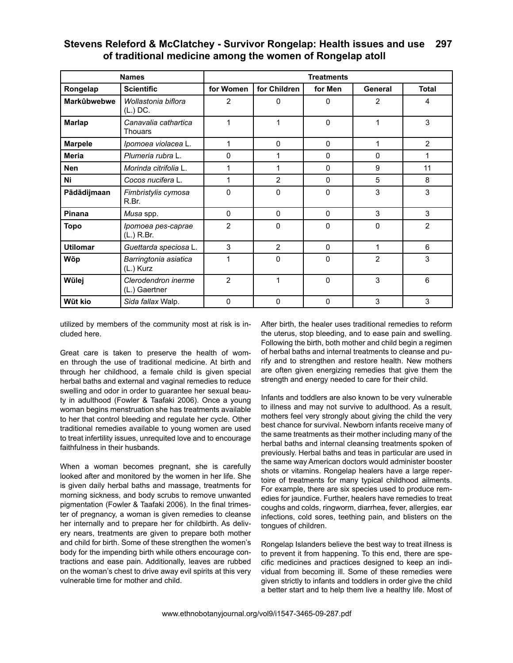| <b>Names</b>    |                                        | <b>Treatments</b> |                |              |                |                |  |  |
|-----------------|----------------------------------------|-------------------|----------------|--------------|----------------|----------------|--|--|
| Rongelap        | <b>Scientific</b>                      | for Women         | for Children   | for Men      | General        | <b>Total</b>   |  |  |
| Markûbwebwe     | Wollastonia biflora<br>(L.) DC.        | 2                 | 0              | 0            | $\overline{2}$ | 4              |  |  |
| <b>Marlap</b>   | Canavalia cathartica<br><b>Thouars</b> | 1                 | 1              | $\Omega$     | 1              | 3              |  |  |
| <b>Marpele</b>  | Ipomoea violacea L.                    | 1                 | $\Omega$       | $\mathbf{0}$ | 1              | $\overline{2}$ |  |  |
| <b>Meria</b>    | Plumeria rubra L.                      | 0                 | 1              | $\Omega$     | 0              | 1              |  |  |
| <b>Nen</b>      | Morinda citrifolia L.                  | 1                 | 1              | $\Omega$     | 9              | 11             |  |  |
| Ni              | Cocos nucifera L.                      | 1                 | 2              | $\Omega$     | 5              | 8              |  |  |
| Pãdãdijmaan     | Fimbristylis cymosa<br>R.Br.           | 0                 | 0              | $\Omega$     | 3              | 3              |  |  |
| <b>Pinana</b>   | Musa spp.                              | 0                 | $\Omega$       | $\Omega$     | 3              | 3              |  |  |
| Topo            | Ipomoea pes-caprae<br>(L.) R.Br.       | $\overline{2}$    | $\Omega$       | $\Omega$     | $\mathbf 0$    | 2              |  |  |
| <b>Utilomar</b> | Guettarda speciosa L.                  | 3                 | $\overline{2}$ | $\Omega$     | 1              | 6              |  |  |
| Wõp             | Barringtonia asiatica<br>(L.) Kurz     | 1                 | 0              | $\mathbf{0}$ | $\overline{2}$ | 3              |  |  |
| Wũlej           | Clerodendron inerme<br>(L.) Gaertner   | $\overline{2}$    | 1              | $\Omega$     | 3              | 6              |  |  |
| Wũt kio         | Sida fallax Walp.                      | 0                 | $\Omega$       | $\Omega$     | 3              | 3              |  |  |

utilized by members of the community most at risk is included here.

Great care is taken to preserve the health of women through the use of traditional medicine. At birth and through her childhood, a female child is given special herbal baths and external and vaginal remedies to reduce swelling and odor in order to guarantee her sexual beauty in adulthood (Fowler & Taafaki 2006). Once a young woman begins menstruation she has treatments available to her that control bleeding and regulate her cycle. Other traditional remedies available to young women are used to treat infertility issues, unrequited love and to encourage faithfulness in their husbands.

When a woman becomes pregnant, she is carefully looked after and monitored by the women in her life. She is given daily herbal baths and massage, treatments for morning sickness, and body scrubs to remove unwanted pigmentation (Fowler & Taafaki 2006). In the final trimester of pregnancy, a woman is given remedies to cleanse her internally and to prepare her for childbirth. As delivery nears, treatments are given to prepare both mother and child for birth. Some of these strengthen the women's body for the impending birth while others encourage contractions and ease pain. Additionally, leaves are rubbed on the woman's chest to drive away evil spirits at this very vulnerable time for mother and child.

After birth, the healer uses traditional remedies to reform the uterus, stop bleeding, and to ease pain and swelling. Following the birth, both mother and child begin a regimen of herbal baths and internal treatments to cleanse and purify and to strengthen and restore health. New mothers are often given energizing remedies that give them the strength and energy needed to care for their child.

Infants and toddlers are also known to be very vulnerable to illness and may not survive to adulthood. As a result, mothers feel very strongly about giving the child the very best chance for survival. Newborn infants receive many of the same treatments as their mother including many of the herbal baths and internal cleansing treatments spoken of previously. Herbal baths and teas in particular are used in the same way American doctors would administer booster shots or vitamins. Rongelap healers have a large repertoire of treatments for many typical childhood ailments. For example, there are six species used to produce remedies for jaundice. Further, healers have remedies to treat coughs and colds, ringworm, diarrhea, fever, allergies, ear infections, cold sores, teething pain, and blisters on the tongues of children.

Rongelap Islanders believe the best way to treat illness is to prevent it from happening. To this end, there are specific medicines and practices designed to keep an individual from becoming ill. Some of these remedies were given strictly to infants and toddlers in order give the child a better start and to help them live a healthy life. Most of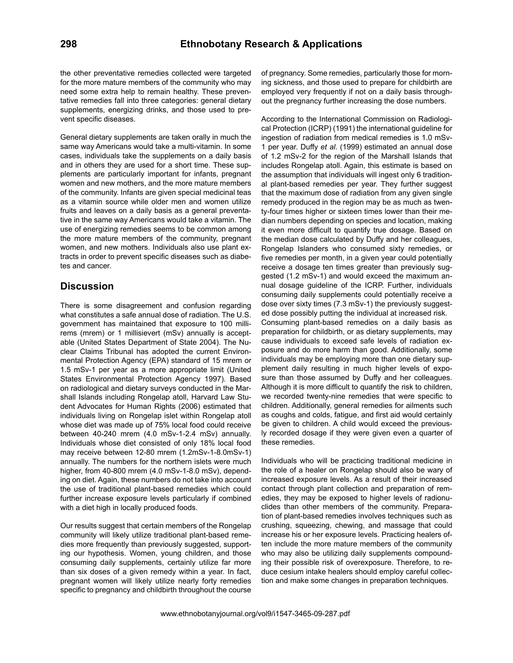the other preventative remedies collected were targeted for the more mature members of the community who may need some extra help to remain healthy. These preventative remedies fall into three categories: general dietary supplements, energizing drinks, and those used to prevent specific diseases.

General dietary supplements are taken orally in much the same way Americans would take a multi-vitamin. In some cases, individuals take the supplements on a daily basis and in others they are used for a short time. These supplements are particularly important for infants, pregnant women and new mothers, and the more mature members of the community. Infants are given special medicinal teas as a vitamin source while older men and women utilize fruits and leaves on a daily basis as a general preventative in the same way Americans would take a vitamin. The use of energizing remedies seems to be common among the more mature members of the community, pregnant women, and new mothers. Individuals also use plant extracts in order to prevent specific diseases such as diabetes and cancer.

#### **Discussion**

There is some disagreement and confusion regarding what constitutes a safe annual dose of radiation. The U.S. government has maintained that exposure to 100 millirems (mrem) or 1 millisievert (mSv) annually is acceptable (United States Department of State 2004). The Nuclear Claims Tribunal has adopted the current Environmental Protection Agency (EPA) standard of 15 mrem or 1.5 mSv-1 per year as a more appropriate limit (United States Environmental Protection Agency 1997). Based on radiological and dietary surveys conducted in the Marshall Islands including Rongelap atoll, Harvard Law Student Advocates for Human Rights (2006) estimated that individuals living on Rongelap islet within Rongelap atoll whose diet was made up of 75% local food could receive between 40-240 mrem (4.0 mSv-1-2.4 mSv) annually. Individuals whose diet consisted of only 18% local food may receive between 12-80 mrem (1.2mSv-1-8.0mSv-1) annually. The numbers for the northern islets were much higher, from 40-800 mrem (4.0 mSv-1-8.0 mSv), depending on diet. Again, these numbers do not take into account the use of traditional plant-based remedies which could further increase exposure levels particularly if combined with a diet high in locally produced foods.

Our results suggest that certain members of the Rongelap community will likely utilize traditional plant-based remedies more frequently than previously suggested, supporting our hypothesis. Women, young children, and those consuming daily supplements, certainly utilize far more than six doses of a given remedy within a year. In fact, pregnant women will likely utilize nearly forty remedies specific to pregnancy and childbirth throughout the course

of pregnancy. Some remedies, particularly those for morning sickness, and those used to prepare for childbirth are employed very frequently if not on a daily basis throughout the pregnancy further increasing the dose numbers.

According to the International Commission on Radiological Protection (ICRP) (1991) the international guideline for ingestion of radiation from medical remedies is 1.0 mSv-1 per year. Duffy *et al*. (1999) estimated an annual dose of 1.2 mSv-2 for the region of the Marshall Islands that includes Rongelap atoll. Again, this estimate is based on the assumption that individuals will ingest only 6 traditional plant-based remedies per year. They further suggest that the maximum dose of radiation from any given single remedy produced in the region may be as much as twenty-four times higher or sixteen times lower than their median numbers depending on species and location, making it even more difficult to quantify true dosage. Based on the median dose calculated by Duffy and her colleagues, Rongelap Islanders who consumed sixty remedies, or five remedies per month, in a given year could potentially receive a dosage ten times greater than previously suggested (1.2 mSv-1) and would exceed the maximum annual dosage guideline of the ICRP. Further, individuals consuming daily supplements could potentially receive a dose over sixty times (7.3 mSv-1) the previously suggested dose possibly putting the individual at increased risk. Consuming plant-based remedies on a daily basis as preparation for childbirth, or as dietary supplements, may cause individuals to exceed safe levels of radiation exposure and do more harm than good. Additionally, some individuals may be employing more than one dietary supplement daily resulting in much higher levels of exposure than those assumed by Duffy and her colleagues. Although it is more difficult to quantify the risk to children, we recorded twenty-nine remedies that were specific to children. Additionally, general remedies for ailments such as coughs and colds, fatigue, and first aid would certainly be given to children. A child would exceed the previously recorded dosage if they were given even a quarter of these remedies.

Individuals who will be practicing traditional medicine in the role of a healer on Rongelap should also be wary of increased exposure levels. As a result of their increased contact through plant collection and preparation of remedies, they may be exposed to higher levels of radionuclides than other members of the community. Preparation of plant-based remedies involves techniques such as crushing, squeezing, chewing, and massage that could increase his or her exposure levels. Practicing healers often include the more mature members of the community who may also be utilizing daily supplements compounding their possible risk of overexposure. Therefore, to reduce cesium intake healers should employ careful collection and make some changes in preparation techniques.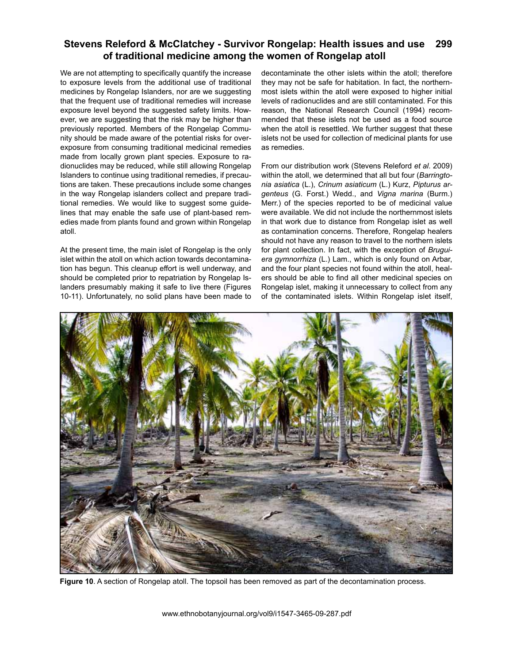We are not attempting to specifically quantify the increase to exposure levels from the additional use of traditional medicines by Rongelap Islanders, nor are we suggesting that the frequent use of traditional remedies will increase exposure level beyond the suggested safety limits. However, we are suggesting that the risk may be higher than previously reported. Members of the Rongelap Community should be made aware of the potential risks for overexposure from consuming traditional medicinal remedies made from locally grown plant species. Exposure to radionuclides may be reduced, while still allowing Rongelap Islanders to continue using traditional remedies, if precautions are taken. These precautions include some changes in the way Rongelap islanders collect and prepare traditional remedies. We would like to suggest some guidelines that may enable the safe use of plant-based remedies made from plants found and grown within Rongelap atoll.

At the present time, the main islet of Rongelap is the only islet within the atoll on which action towards decontamination has begun. This cleanup effort is well underway, and should be completed prior to repatriation by Rongelap Islanders presumably making it safe to live there (Figures 10-11). Unfortunately, no solid plans have been made to decontaminate the other islets within the atoll; therefore they may not be safe for habitation. In fact, the northernmost islets within the atoll were exposed to higher initial levels of radionuclides and are still contaminated. For this reason, the National Research Council (1994) recommended that these islets not be used as a food source when the atoll is resettled. We further suggest that these islets not be used for collection of medicinal plants for use as remedies.

From our distribution work (Stevens Releford *et al*. 2009) within the atoll, we determined that all but four (*Barringtonia asiatica* (L.), *Crinum asiaticum* (L.) Kurz, *Pipturus argenteus* (G. Forst.) Wedd., and *Vigna marina* (Burm.) Merr.) of the species reported to be of medicinal value were available. We did not include the northernmost islets in that work due to distance from Rongelap islet as well as contamination concerns. Therefore, Rongelap healers should not have any reason to travel to the northern islets for plant collection. In fact, with the exception of *Bruguiera gymnorrhiza* (L.) Lam., which is only found on Arbar, and the four plant species not found within the atoll, healers should be able to find all other medicinal species on Rongelap islet, making it unnecessary to collect from any of the contaminated islets. Within Rongelap islet itself,



**Figure 10**. A section of Rongelap atoll. The topsoil has been removed as part of the decontamination process.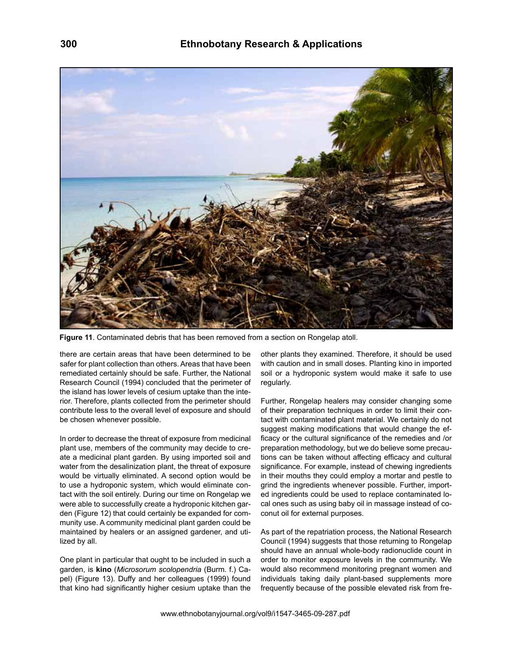

**Figure 11**. Contaminated debris that has been removed from a section on Rongelap atoll.

there are certain areas that have been determined to be safer for plant collection than others. Areas that have been remediated certainly should be safe. Further, the National Research Council (1994) concluded that the perimeter of the island has lower levels of cesium uptake than the interior. Therefore, plants collected from the perimeter should contribute less to the overall level of exposure and should be chosen whenever possible.

In order to decrease the threat of exposure from medicinal plant use, members of the community may decide to create a medicinal plant garden. By using imported soil and water from the desalinization plant, the threat of exposure would be virtually eliminated. A second option would be to use a hydroponic system, which would eliminate contact with the soil entirely. During our time on Rongelap we were able to successfully create a hydroponic kitchen garden (Figure 12) that could certainly be expanded for community use. A community medicinal plant garden could be maintained by healers or an assigned gardener, and utilized by all.

One plant in particular that ought to be included in such a garden, is **kino** (*Microsorum scolopendria* (Burm. f.) Capel) (Figure 13). Duffy and her colleagues (1999) found that kino had significantly higher cesium uptake than the other plants they examined. Therefore, it should be used with caution and in small doses. Planting kino in imported soil or a hydroponic system would make it safe to use regularly.

Further, Rongelap healers may consider changing some of their preparation techniques in order to limit their contact with contaminated plant material. We certainly do not suggest making modifications that would change the efficacy or the cultural significance of the remedies and /or preparation methodology, but we do believe some precautions can be taken without affecting efficacy and cultural significance. For example, instead of chewing ingredients in their mouths they could employ a mortar and pestle to grind the ingredients whenever possible. Further, imported ingredients could be used to replace contaminated local ones such as using baby oil in massage instead of coconut oil for external purposes.

As part of the repatriation process, the National Research Council (1994) suggests that those returning to Rongelap should have an annual whole-body radionuclide count in order to monitor exposure levels in the community. We would also recommend monitoring pregnant women and individuals taking daily plant-based supplements more frequently because of the possible elevated risk from fre-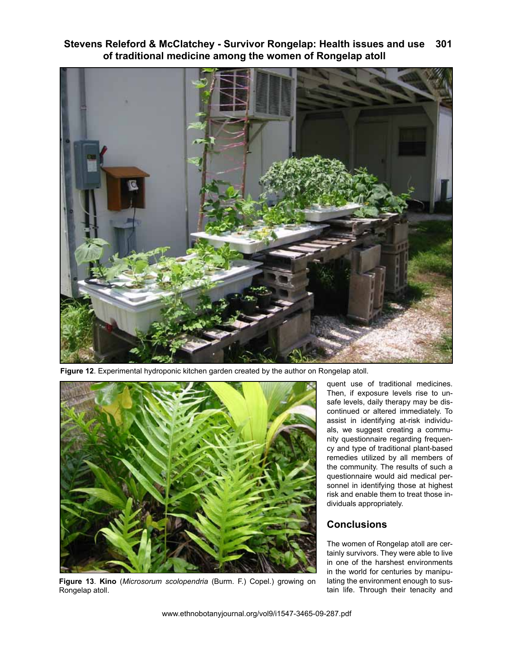

**Figure 12**. Experimental hydroponic kitchen garden created by the author on Rongelap atoll.



**Figure 13**. **Kino** (*Microsorum scolopendria* (Burm. F.) Copel.) growing on Rongelap atoll.

quent use of traditional medicines. Then, if exposure levels rise to unsafe levels, daily therapy may be discontinued or altered immediately. To assist in identifying at-risk individuals, we suggest creating a community questionnaire regarding frequency and type of traditional plant-based remedies utilized by all members of the community. The results of such a questionnaire would aid medical personnel in identifying those at highest risk and enable them to treat those individuals appropriately.

## **Conclusions**

The women of Rongelap atoll are certainly survivors. They were able to live in one of the harshest environments in the world for centuries by manipulating the environment enough to sustain life. Through their tenacity and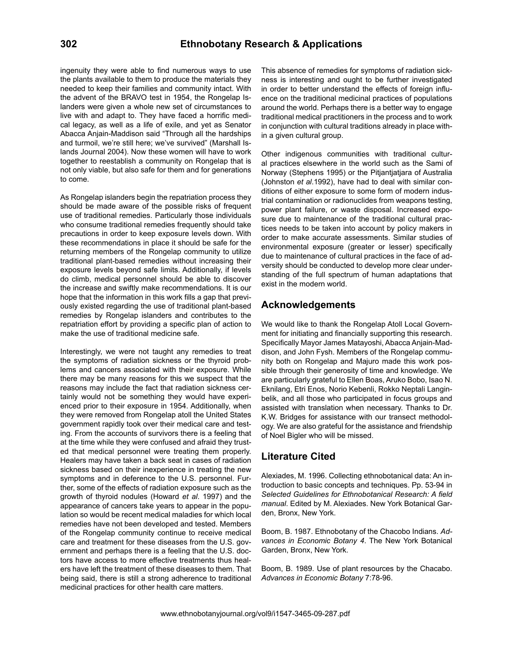ingenuity they were able to find numerous ways to use the plants available to them to produce the materials they needed to keep their families and community intact. With the advent of the BRAVO test in 1954, the Rongelap Islanders were given a whole new set of circumstances to live with and adapt to. They have faced a horrific medical legacy, as well as a life of exile, and yet as Senator Abacca Anjain-Maddison said "Through all the hardships and turmoil, we're still here; we've survived" (Marshall Islands Journal 2004). Now these women will have to work together to reestablish a community on Rongelap that is not only viable, but also safe for them and for generations to come.

As Rongelap islanders begin the repatriation process they should be made aware of the possible risks of frequent use of traditional remedies. Particularly those individuals who consume traditional remedies frequently should take precautions in order to keep exposure levels down. With these recommendations in place it should be safe for the returning members of the Rongelap community to utilize traditional plant-based remedies without increasing their exposure levels beyond safe limits. Additionally, if levels do climb, medical personnel should be able to discover the increase and swiftly make recommendations. It is our hope that the information in this work fills a gap that previously existed regarding the use of traditional plant-based remedies by Rongelap islanders and contributes to the repatriation effort by providing a specific plan of action to make the use of traditional medicine safe.

Interestingly, we were not taught any remedies to treat the symptoms of radiation sickness or the thyroid problems and cancers associated with their exposure. While there may be many reasons for this we suspect that the reasons may include the fact that radiation sickness certainly would not be something they would have experienced prior to their exposure in 1954. Additionally, when they were removed from Rongelap atoll the United States government rapidly took over their medical care and testing. From the accounts of survivors there is a feeling that at the time while they were confused and afraid they trusted that medical personnel were treating them properly. Healers may have taken a back seat in cases of radiation sickness based on their inexperience in treating the new symptoms and in deference to the U.S. personnel. Further, some of the effects of radiation exposure such as the growth of thyroid nodules (Howard *et al*. 1997) and the appearance of cancers take years to appear in the population so would be recent medical maladies for which local remedies have not been developed and tested. Members of the Rongelap community continue to receive medical care and treatment for these diseases from the U.S. government and perhaps there is a feeling that the U.S. doctors have access to more effective treatments thus healers have left the treatment of these diseases to them. That being said, there is still a strong adherence to traditional medicinal practices for other health care matters.

This absence of remedies for symptoms of radiation sickness is interesting and ought to be further investigated in order to better understand the effects of foreign influence on the traditional medicinal practices of populations around the world. Perhaps there is a better way to engage traditional medical practitioners in the process and to work in conjunction with cultural traditions already in place within a given cultural group.

Other indigenous communities with traditional cultural practices elsewhere in the world such as the Sami of Norway (Stephens 1995) or the Pitjantjatjara of Australia (Johnston *et al*.1992), have had to deal with similar conditions of either exposure to some form of modern industrial contamination or radionuclides from weapons testing, power plant failure, or waste disposal. Increased exposure due to maintenance of the traditional cultural practices needs to be taken into account by policy makers in order to make accurate assessments. Similar studies of environmental exposure (greater or lesser) specifically due to maintenance of cultural practices in the face of adversity should be conducted to develop more clear understanding of the full spectrum of human adaptations that exist in the modern world.

#### **Acknowledgements**

We would like to thank the Rongelap Atoll Local Government for initiating and financially supporting this research. Specifically Mayor James Matayoshi, Abacca Anjain-Maddison, and John Fysh. Members of the Rongelap community both on Rongelap and Majuro made this work possible through their generosity of time and knowledge. We are particularly grateful to Ellen Boas, Aruko Bobo, Isao N. Eknilang, Etri Enos, Norio Kebenli, Rokko Neptali Langinbelik, and all those who participated in focus groups and assisted with translation when necessary. Thanks to Dr. K.W. Bridges for assistance with our transect methodology. We are also grateful for the assistance and friendship of Noel Bigler who will be missed.

## **Literature Cited**

Alexiades, M. 1996. Collecting ethnobotanical data: An introduction to basic concepts and techniques. Pp. 53-94 in *Selected Guidelines for Ethnobotanical Research: A field manual*. Edited by M. Alexiades. New York Botanical Garden, Bronx, New York.

Boom, B. 1987. Ethnobotany of the Chacobo Indians. *Advances in Economic Botany 4*. The New York Botanical Garden, Bronx, New York.

Boom, B. 1989. Use of plant resources by the Chacabo. *Advances in Economic Botany* 7:78-96.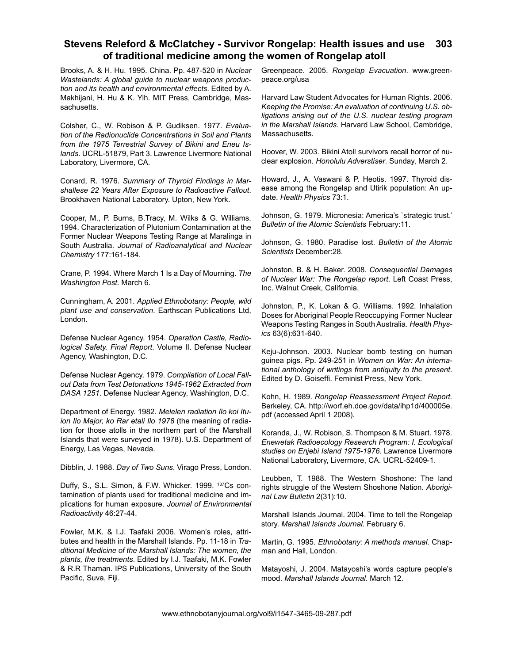Brooks, A. & H. Hu. 1995. China. Pp. 487-520 in *Nuclear Wastelands: A global guide to nuclear weapons production and its health and environmental effects*. Edited by A. Makhijani, H. Hu & K. Yih. MIT Press, Cambridge, Massachusetts.

Colsher, C., W. Robison & P. Gudiksen. 1977. *Evaluation of the Radionuclide Concentrations in Soil and Plants from the 1975 Terrestrial Survey of Bikini and Eneu Islands*. UCRL-51879, Part 3. Lawrence Livermore National Laboratory, Livermore, CA.

Conard, R. 1976. *Summary of Thyroid Findings in Marshallese 22 Years After Exposure to Radioactive Fallout*. Brookhaven National Laboratory. Upton, New York.

Cooper, M., P. Burns, B.Tracy, M. Wilks & G. Williams. 1994. Characterization of Plutonium Contamination at the Former Nuclear Weapons Testing Range at Maralinga in South Australia. *Journal of Radioanalytical and Nuclear Chemistry* 177:161-184.

Crane, P. 1994. Where March 1 Is a Day of Mourning. *The Washington Post*. March 6.

Cunningham, A. 2001. *Applied Ethnobotany: People, wild plant use and conservation*. Earthscan Publications Ltd, London.

Defense Nuclear Agency. 1954. *Operation Castle, Radiological Safety. Final Report*. Volume II. Defense Nuclear Agency, Washington, D.C.

Defense Nuclear Agency. 1979. *Compilation of Local Fallout Data from Test Detonations 1945-1962 Extracted from DASA 1251*. Defense Nuclear Agency, Washington, D.C.

Department of Energy. 1982. *Melelen radiation Ilo koi Ituion Ilo Major, ko Rar etali Ilo 1978* (the meaning of radiation for those atolls in the northern part of the Marshall Islands that were surveyed in 1978). U.S. Department of Energy, Las Vegas, Nevada.

Dibblin, J. 1988. *Day of Two Suns*. Virago Press, London.

Duffy, S., S.L. Simon, & F.W. Whicker. 1999. <sup>137</sup>Cs contamination of plants used for traditional medicine and implications for human exposure. *Journal of Environmental Radioactivity* 46:27-44.

Fowler, M.K. & I.J. Taafaki 2006. Women's roles, attributes and health in the Marshall Islands. Pp. 11-18 in *Traditional Medicine of the Marshall Islands: The women, the plants, the treatments*. Edited by I.J. Taafaki, M.K. Fowler & R.R Thaman. IPS Publications, University of the South Pacific, Suva, Fiji.

Greenpeace. 2005. *Rongelap Evacuation*. www.greenpeace.org/usa

Harvard Law Student Advocates for Human Rights. 2006. *Keeping the Promise: An evaluation of continuing U.S. obligations arising out of the U.S. nuclear testing program in the Marshall Islands*. Harvard Law School, Cambridge, Massachusetts.

Hoover, W. 2003. Bikini Atoll survivors recall horror of nuclear explosion. *Honolulu Adverstiser*. Sunday, March 2.

Howard, J., A. Vaswani & P. Heotis. 1997. Thyroid disease among the Rongelap and Utirik population: An update. *Health Physics* 73:1.

Johnson, G. 1979. Micronesia: America's `strategic trust.' *Bulletin of the Atomic Scientists* February:11.

Johnson, G. 1980. Paradise lost. *Bulletin of the Atomic Scientists* December:28.

Johnston, B. & H. Baker. 2008. *Consequential Damages of Nuclear War: The Rongelap report*. Left Coast Press, Inc. Walnut Creek, California.

Johnston, P., K. Lokan & G. Williams. 1992. Inhalation Doses for Aboriginal People Reoccupying Former Nuclear Weapons Testing Ranges in South Australia. *Health Physics* 63(6):631-640.

Keju-Johnson. 2003. Nuclear bomb testing on human guinea pigs. Pp. 249-251 in *Women on War: An international anthology of writings from antiquity to the present*. Edited by D. Goiseffi. Feminist Press, New York.

Kohn, H. 1989. *Rongelap Reassessment Project Report.* Berkeley, CA. http://worf.eh.doe.gov/data/ihp1d/400005e. pdf (accessed April 1 2008).

Koranda, J., W. Robison, S. Thompson & M. Stuart. 1978. *Enewetak Radioecology Research Program: I. Ecological studies on Enjebi Island 1975-1976*. Lawrence Livermore National Laboratory, Livermore, CA. UCRL-52409-1.

Leubben, T. 1988. The Western Shoshone: The land rights struggle of the Western Shoshone Nation. *Aboriginal Law Bulletin* 2(31):10.

Marshall Islands Journal. 2004. Time to tell the Rongelap story. *Marshall Islands Journal*. February 6.

Martin, G. 1995. *Ethnobotany: A methods manual*. Chapman and Hall, London.

Matayoshi, J. 2004. Matayoshi's words capture people's mood. *Marshall Islands Journal*. March 12.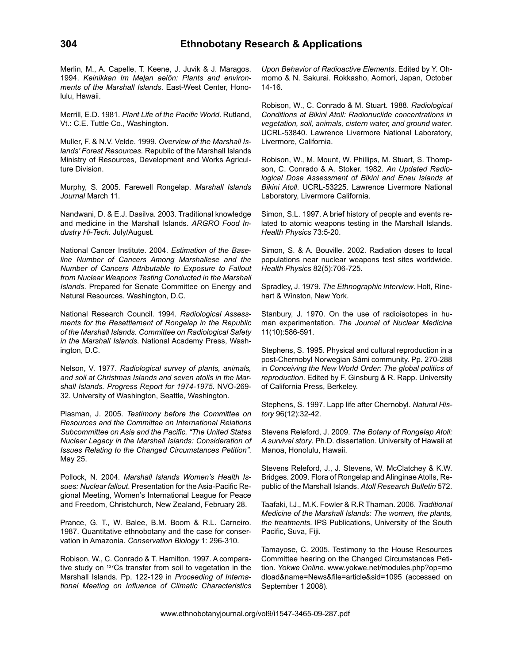Merlin, M., A. Capelle, T. Keene, J. Juvik & J. Maragos. 1994. *Keinikkan Im Meļan aelōn: Plants and environments of the Marshall Islands*. East-West Center, Honolulu, Hawaii.

Merrill, E.D. 1981. *Plant Life of the Pacific World*. Rutland, Vt.: C.E. Tuttle Co., Washington.

Muller, F. & N.V. Velde. 1999. *Overview of the Marshall Islands' Forest Resources*. Republic of the Marshall Islands Ministry of Resources, Development and Works Agriculture Division.

Murphy, S. 2005. Farewell Rongelap. *Marshall Islands Journal* March 11.

Nandwani, D. & E.J. Dasilva. 2003. Traditional knowledge and medicine in the Marshall Islands. *ARGRO Food Industry Hi-Tech*. July/August.

National Cancer Institute. 2004. *Estimation of the Baseline Number of Cancers Among Marshallese and the Number of Cancers Attributable to Exposure to Fallout from Nuclear Weapons Testing Conducted in the Marshall Islands*. Prepared for Senate Committee on Energy and Natural Resources. Washington, D.C.

National Research Council. 1994. *Radiological Assessments for the Resettlement of Rongelap in the Republic of the Marshall Islands. Committee on Radiological Safety in the Marshall Islands*. National Academy Press, Washington, D.C.

Nelson, V. 1977. *Radiological survey of plants, animals, and soil at Christmas Islands and seven atolls in the Marshall Islands. Progress Report for 1974-1975*. NVO-269- 32. University of Washington, Seattle, Washington.

Plasman, J. 2005. *Testimony before the Committee on Resources and the Committee on International Relations Subcommittee on Asia and the Pacific. "The United States Nuclear Legacy in the Marshall Islands: Consideration of Issues Relating to the Changed Circumstances Petition"*. May 25.

Pollock, N. 2004. *Marshall Islands Women's Health Issues: Nuclear fallout*. Presentation for the Asia-Pacific Regional Meeting, Women's International League for Peace and Freedom, Christchurch, New Zealand, February 28.

Prance, G. T., W. Balee, B.M. Boom & R.L. Carneiro. 1987. Quantitative ethnobotany and the case for conservation in Amazonia. *Conservation Biology* 1: 296-310.

Robison, W., C. Conrado & T. Hamilton. 1997. A comparative study on 137Cs transfer from soil to vegetation in the Marshall Islands. Pp. 122-129 in *Proceeding of International Meeting on Influence of Climatic Characteristics*  *Upon Behavior of Radioactive Elements*. Edited by Y. Ohmomo & N. Sakurai. Rokkasho, Aomori, Japan, October 14-16.

Robison, W., C. Conrado & M. Stuart. 1988. *Radiological Conditions at Bikini Atoll: Radionuclide concentrations in vegetation, soil, animals, cistern water, and ground water*. UCRL-53840. Lawrence Livermore National Laboratory, Livermore, California.

Robison, W., M. Mount, W. Phillips, M. Stuart, S. Thompson, C. Conrado & A. Stoker. 1982. *An Updated Radiological Dose Assessment of Bikini and Eneu Islands at Bikini Atoll*. UCRL-53225. Lawrence Livermore National Laboratory, Livermore California.

Simon, S.L. 1997. A brief history of people and events related to atomic weapons testing in the Marshall Islands. *Health Physics* 73:5-20.

Simon, S. & A. Bouville. 2002. Radiation doses to local populations near nuclear weapons test sites worldwide. *Health Physics* 82(5):706-725.

Spradley, J. 1979. *The Ethnographic Interview*. Holt, Rinehart & Winston, New York.

Stanbury, J. 1970. On the use of radioisotopes in human experimentation. *The Journal of Nuclear Medicine*  11(10):586-591.

Stephens, S. 1995. Physical and cultural reproduction in a post-Chernobyl Norwegian Sámi community. Pp. 270-288 in *Conceiving the New World Order: The global politics of reproduction*. Edited by F. Ginsburg & R. Rapp. University of California Press, Berkeley.

Stephens, S. 1997. Lapp life after Chernobyl. *Natural History* 96(12):32-42.

Stevens Releford, J. 2009. *The Botany of Rongelap Atoll: A survival story*. Ph.D. dissertation. University of Hawaii at Manoa, Honolulu, Hawaii.

Stevens Releford, J., J. Stevens, W. McClatchey & K.W. Bridges. 2009. Flora of Rongelap and Alinginae Atolls, Republic of the Marshall Islands. *Atoll Research Bulletin* 572.

Taafaki, I.J., M.K. Fowler & R.R Thaman. 2006. *Traditional Medicine of the Marshall Islands: The women, the plants, the treatments*. IPS Publications, University of the South Pacific, Suva, Fiji.

Tamayose, C. 2005. Testimony to the House Resources Committee hearing on the Changed Circumstances Petition. *Yokwe Online*. www.yokwe.net/modules.php?op=mo dload&name=News&file=article&sid=1095 (accessed on September 1 2008).